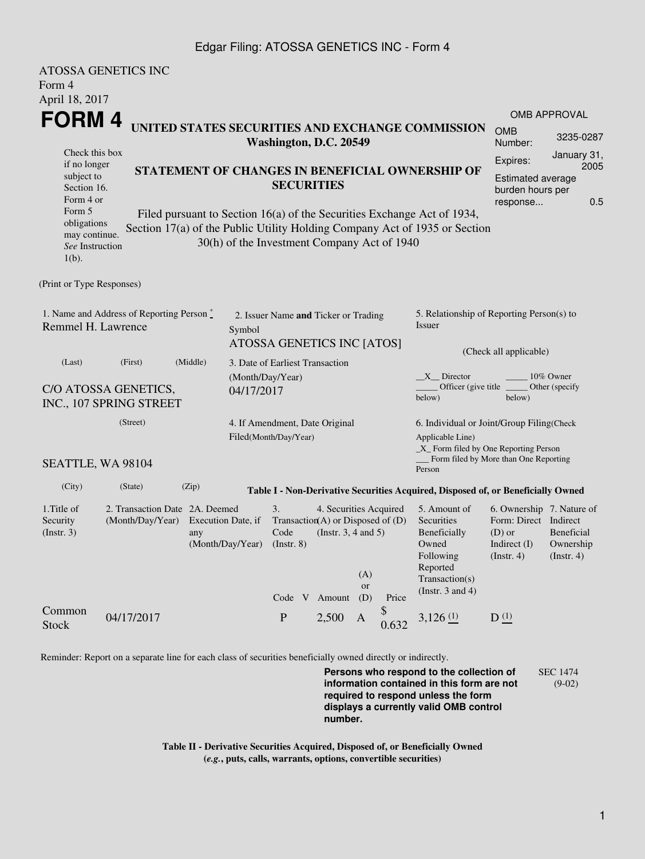## Edgar Filing: ATOSSA GENETICS INC - Form 4

| <b>ATOSSA GENETICS INC</b>    |                                                   |                            |                                                                            |                                     |           |       |                                                                                  |                                                                                    |                          |  |  |
|-------------------------------|---------------------------------------------------|----------------------------|----------------------------------------------------------------------------|-------------------------------------|-----------|-------|----------------------------------------------------------------------------------|------------------------------------------------------------------------------------|--------------------------|--|--|
| Form 4                        |                                                   |                            |                                                                            |                                     |           |       |                                                                                  |                                                                                    |                          |  |  |
| April 18, 2017                |                                                   |                            |                                                                            |                                     |           |       |                                                                                  |                                                                                    |                          |  |  |
| <b>FORM4</b>                  |                                                   |                            |                                                                            |                                     |           |       |                                                                                  |                                                                                    | <b>OMB APPROVAL</b>      |  |  |
|                               |                                                   |                            | UNITED STATES SECURITIES AND EXCHANGE COMMISSION<br>Washington, D.C. 20549 |                                     |           |       |                                                                                  | <b>OMB</b><br>Number:                                                              | 3235-0287                |  |  |
| Check this box                |                                                   |                            |                                                                            |                                     |           |       |                                                                                  | Expires:                                                                           | January 31,              |  |  |
| if no longer<br>subject to    |                                                   |                            | STATEMENT OF CHANGES IN BENEFICIAL OWNERSHIP OF                            |                                     |           |       |                                                                                  | 2005<br><b>Estimated average</b>                                                   |                          |  |  |
| Section 16.                   |                                                   |                            | <b>SECURITIES</b>                                                          |                                     |           |       |                                                                                  | burden hours per                                                                   |                          |  |  |
| Form 4 or                     |                                                   |                            |                                                                            |                                     |           |       |                                                                                  | response                                                                           | 0.5                      |  |  |
| Form 5<br>obligations         |                                                   |                            | Filed pursuant to Section $16(a)$ of the Securities Exchange Act of 1934,  |                                     |           |       |                                                                                  |                                                                                    |                          |  |  |
| may continue.                 |                                                   |                            | Section 17(a) of the Public Utility Holding Company Act of 1935 or Section |                                     |           |       |                                                                                  |                                                                                    |                          |  |  |
| See Instruction               |                                                   |                            | 30(h) of the Investment Company Act of 1940                                |                                     |           |       |                                                                                  |                                                                                    |                          |  |  |
| $1(b)$ .                      |                                                   |                            |                                                                            |                                     |           |       |                                                                                  |                                                                                    |                          |  |  |
| (Print or Type Responses)     |                                                   |                            |                                                                            |                                     |           |       |                                                                                  |                                                                                    |                          |  |  |
|                               |                                                   |                            |                                                                            |                                     |           |       |                                                                                  |                                                                                    |                          |  |  |
|                               | 1. Name and Address of Reporting Person $\degree$ |                            | 2. Issuer Name and Ticker or Trading                                       |                                     |           |       |                                                                                  | 5. Relationship of Reporting Person(s) to                                          |                          |  |  |
| Remmel H. Lawrence<br>Symbol  |                                                   |                            |                                                                            |                                     | Issuer    |       |                                                                                  |                                                                                    |                          |  |  |
|                               |                                                   | ATOSSA GENETICS INC [ATOS] |                                                                            |                                     |           |       |                                                                                  |                                                                                    |                          |  |  |
| (Middle)<br>(Last)<br>(First) |                                                   |                            | 3. Date of Earliest Transaction                                            |                                     |           |       | (Check all applicable)                                                           |                                                                                    |                          |  |  |
|                               |                                                   |                            | (Month/Day/Year)                                                           |                                     |           |       | X Director                                                                       |                                                                                    | 10% Owner                |  |  |
| C/O ATOSSA GENETICS,          |                                                   |                            | 04/17/2017                                                                 |                                     |           |       |                                                                                  | Officer (give title $\overline{\phantom{a}}$<br>Other (specify<br>below)<br>below) |                          |  |  |
|                               | INC., 107 SPRING STREET                           |                            |                                                                            |                                     |           |       |                                                                                  |                                                                                    |                          |  |  |
|                               | (Street)                                          |                            |                                                                            | 4. If Amendment, Date Original      |           |       | 6. Individual or Joint/Group Filing(Check                                        |                                                                                    |                          |  |  |
|                               |                                                   |                            | Filed(Month/Day/Year)                                                      |                                     |           |       |                                                                                  | Applicable Line)                                                                   |                          |  |  |
|                               |                                                   |                            |                                                                            |                                     |           |       | _X_ Form filed by One Reporting Person<br>Form filed by More than One Reporting  |                                                                                    |                          |  |  |
| SEATTLE, WA 98104             |                                                   |                            |                                                                            |                                     |           |       | Person                                                                           |                                                                                    |                          |  |  |
| (City)                        | (State)                                           | (Zip)                      |                                                                            |                                     |           |       | Table I - Non-Derivative Securities Acquired, Disposed of, or Beneficially Owned |                                                                                    |                          |  |  |
| 1.Title of                    | 2. Transaction Date 2A. Deemed                    |                            | 3.                                                                         | 4. Securities Acquired              |           |       | 5. Amount of                                                                     | 6. Ownership 7. Nature of                                                          |                          |  |  |
| Security                      | (Month/Day/Year)                                  | Execution Date, if         |                                                                            | Transaction(A) or Disposed of $(D)$ |           |       | Securities                                                                       | Form: Direct Indirect                                                              |                          |  |  |
| (Insert. 3)                   |                                                   | any                        | Code                                                                       | (Instr. $3, 4$ and $5$ )            |           |       |                                                                                  | $(D)$ or                                                                           | <b>Beneficial</b>        |  |  |
|                               |                                                   | (Month/Day/Year)           | $($ Instr. $8)$                                                            |                                     |           |       | Owned<br>Following                                                               | Indirect $(I)$<br>(Insert. 4)                                                      | Ownership<br>(Insert. 4) |  |  |
|                               |                                                   |                            |                                                                            |                                     |           |       | Reported                                                                         |                                                                                    |                          |  |  |
|                               |                                                   |                            |                                                                            |                                     | (A)<br>or |       | Transaction(s)                                                                   |                                                                                    |                          |  |  |
|                               |                                                   |                            |                                                                            | Code V Amount                       | (D)       | Price | (Instr. $3$ and $4$ )                                                            |                                                                                    |                          |  |  |
| Common                        |                                                   |                            |                                                                            |                                     |           |       |                                                                                  |                                                                                    |                          |  |  |

Reminder: Report on a separate line for each class of securities beneficially owned directly or indirectly.

**Persons who respond to the collection of information contained in this form are not required to respond unless the form displays a currently valid OMB control number.** SEC 1474 (9-02)

**Table II - Derivative Securities Acquired, Disposed of, or Beneficially Owned (***e.g.***, puts, calls, warrants, options, convertible securities)**